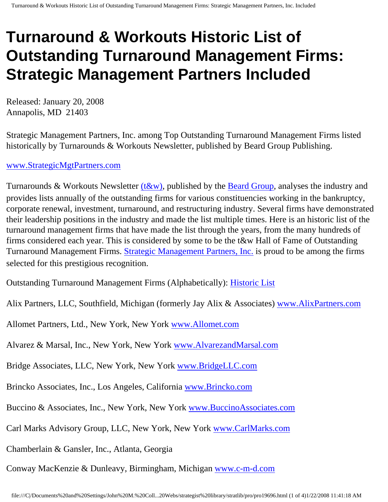# **Turnaround & Workouts Historic List of Outstanding Turnaround Management Firms: Strategic Management Partners Included**

Released: January 20, 2008 Annapolis, MD 21403

Strategic Management Partners, Inc. among Top Outstanding Turnaround Management Firms listed historically by Turnarounds & Workouts Newsletter, published by Beard Group Publishing.

#### [www.StrategicMgtPartners.com](http://www.strategicmgtpartners.com/)

Turnarounds & Workouts Newsletter  $(t&w)$ , published by the **[Beard Group](http://www.beardgroup.com/)**, analyses the industry and provides lists annually of the outstanding firms for various constituencies working in the bankruptcy, corporate renewal, investment, turnaround, and restructuring industry. Several firms have demonstrated their leadership positions in the industry and made the list multiple times. Here is an historic list of the turnaround management firms that have made the list through the years, from the many hundreds of firms considered each year. This is considered by some to be the t&w Hall of Fame of Outstanding Turnaround Management Firms. [Strategic Management Partners, Inc.](http://members.aol.com/strategist/home.html) is proud to be among the firms selected for this prestigious recognition.

Outstanding Turnaround Management Firms (Alphabetically): [Historic List](http://members.aol.com/Strategist/twtop12.html)

Alix Partners, LLC, Southfield, Michigan (formerly Jay Alix & Associates) [www.AlixPartners.com](http://www.alixpartners.com/)

Allomet Partners, Ltd., New York, New York [www.Allomet.com](http://www.allomet.com/)

Alvarez & Marsal, Inc., New York, New York [www.AlvarezandMarsal.com](http://www.alvarezandmarsal.com/)

Bridge Associates, LLC, New York, New York [www.BridgeLLC.com](http://www.bridgellc.com/)

Brincko Associates, Inc., Los Angeles, California [www.Brincko.com](http://www.brincko.com/)

Buccino & Associates, Inc., New York, New York [www.BuccinoAssociates.com](http://www.buccinoassociates.com/)

Carl Marks Advisory Group, LLC, New York, New York [www.CarlMarks.com](http://www.carlmarks.com/)

Chamberlain & Gansler, Inc., Atlanta, Georgia

Conway MacKenzie & Dunleavy, Birmingham, Michigan [www.c-m-d.com](http://www.c-m-d.com/)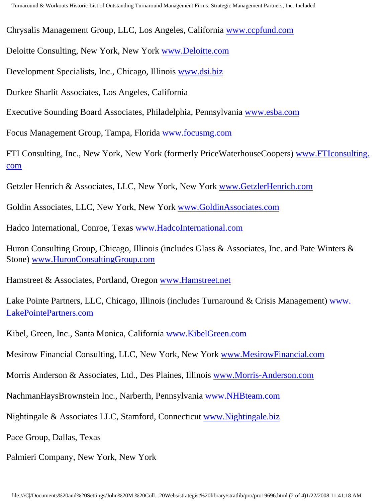Chrysalis Management Group, LLC, Los Angeles, California [www.ccpfund.com](http://www.ccpfund.com/)

Deloitte Consulting, New York, New York [www.Deloitte.com](http://www.deloitte.com/)

Development Specialists, Inc., Chicago, Illinois [www.dsi.biz](http://www.dsi.biz/)

Durkee Sharlit Associates, Los Angeles, California

Executive Sounding Board Associates, Philadelphia, Pennsylvania [www.esba.com](http://www.esba.com/)

Focus Management Group, Tampa, Florida [www.focusmg.com](http://www.focusmg.com/)

FTI Consulting, Inc., New York, New York (formerly PriceWaterhouseCoopers) [www.FTIconsulting.](http://www.fticonsulting.com/) [com](http://www.fticonsulting.com/)

Getzler Henrich & Associates, LLC, New York, New York [www.GetzlerHenrich.com](http://www.getzlerhenrich.com/)

Goldin Associates, LLC, New York, New York [www.GoldinAssociates.com](http://www.goldinassociates.com/)

Hadco International, Conroe, Texas [www.HadcoInternational.com](http://www.hadcointernational.com/)

Huron Consulting Group, Chicago, Illinois (includes Glass & Associates, Inc. and Pate Winters & Stone) [www.HuronConsultingGroup.com](http://www.huronconsultinggroup.com/)

Hamstreet & Associates, Portland, Oregon [www.Hamstreet.net](http://www.hamstreet.net/)

Lake Pointe Partners, LLC, Chicago, Illinois (includes Turnaround & Crisis Management) [www.](http://www.lakepointepartners.com/) [LakePointePartners.com](http://www.lakepointepartners.com/)

Kibel, Green, Inc., Santa Monica, California [www.KibelGreen.com](http://www.kibelgreen.com/)

Mesirow Financial Consulting, LLC, New York, New York [www.MesirowFinancial.com](http://www.mesirowfinancial.com/)

Morris Anderson & Associates, Ltd., Des Plaines, Illinois [www.Morris-Anderson.com](http://www.morris-anderson.com/)

NachmanHaysBrownstein Inc., Narberth, Pennsylvania [www.NHBteam.com](http://www.nhbteam.com/)

Nightingale & Associates LLC, Stamford, Connecticut [www.Nightingale.biz](http://www.nightingale.biz/)

Pace Group, Dallas, Texas

Palmieri Company, New York, New York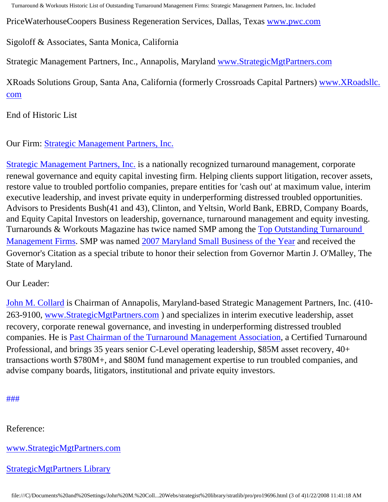Turnaround & Workouts Historic List of Outstanding Turnaround Management Firms: Strategic Management Partners, Inc. Included

PriceWaterhouseCoopers Business Regeneration Services, Dallas, Texas [www.pwc.com](http://www.pwc.com/)

#### Sigoloff & Associates, Santa Monica, California

Strategic Management Partners, Inc., Annapolis, Maryland [www.StrategicMgtPartners.com](http://www.strategicmgtpartners.com/)

XRoads Solutions Group, Santa Ana, California (formerly Crossroads Capital Partners) [www.XRoadsllc.](http://www.xroadsllc.com/) [com](http://www.xroadsllc.com/)

End of Historic List

Our Firm: [Strategic Management Partners, Inc.](http://www.turnaroundmanagement.us.com/)

[Strategic Management Partners, Inc.](http://www.strategicmanagementpartnersinc.com/) is a nationally recognized turnaround management, corporate renewal governance and equity capital investing firm. Helping clients support litigation, recover assets, restore value to troubled portfolio companies, prepare entities for 'cash out' at maximum value, interim executive leadership, and invest private equity in underperforming distressed troubled opportunities. Advisors to Presidents Bush(41 and 43), Clinton, and Yeltsin, World Bank, EBRD, Company Boards, and Equity Capital Investors on leadership, governance, turnaround management and equity investing. Turnarounds & Workouts Magazine has twice named SMP among the [Top Outstanding Turnaround](http://members.aol.com/Strategist/twtop12.html) [Management Firms](http://members.aol.com/Strategist/twtop12.html). SMP was named [2007 Maryland Small Business of the Year](http://members.aol.com/Stratlib3/mccsbyr.html) and received the Governor's Citation as a special tribute to honor their selection from Governor Martin J. O'Malley, The State of Maryland.

### Our Leader:

[John M. Collard](http://www.strategistlibrary.com/) is Chairman of Annapolis, Maryland-based Strategic Management Partners, Inc. (410- 263-9100, [www.StrategicMgtPartners.com](http://www.strategicmgtpartners.com/) ) and specializes in interim executive leadership, asset recovery, corporate renewal governance, and investing in underperforming distressed troubled companies. He is [Past Chairman of the Turnaround Management Association](http://members.aol.com/Strategist/pastchair.html), a Certified Turnaround Professional, and brings 35 years senior C-Level operating leadership, \$85M asset recovery, 40+ transactions worth \$780M+, and \$80M fund management expertise to run troubled companies, and advise company boards, litigators, institutional and private equity investors.

### [#](http://members.aol.com/Strategist/home.html)[#](http://members.aol.com/Strategist/sitemap.html)[#](http://members.aol.com/Strategist/urllist.txt)

Reference:

[www.StrategicMgtPartners.com](http://www.strategicmgtpartners.com/)

[StrategicMgtPartners Library](http://members.aol.com/stratlib3/liblinx.html)